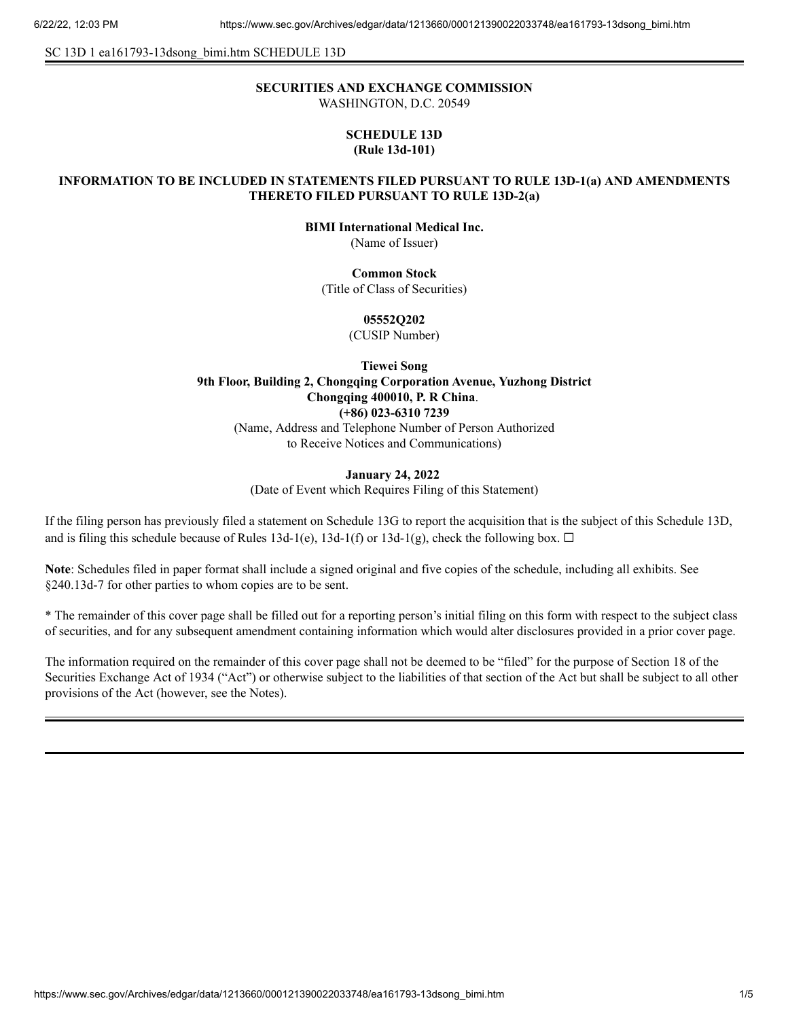SC 13D 1 ea161793-13dsong\_bimi.htm SCHEDULE 13D

# **SECURITIES AND EXCHANGE COMMISSION**

WASHINGTON, D.C. 20549

## **SCHEDULE 13D (Rule 13d-101)**

## **INFORMATION TO BE INCLUDED IN STATEMENTS FILED PURSUANT TO RULE 13D-1(a) AND AMENDMENTS THERETO FILED PURSUANT TO RULE 13D-2(a)**

**BIMI International Medical Inc.**

(Name of Issuer)

**Common Stock**

(Title of Class of Securities)

## **05552Q202**

(CUSIP Number)

**Tiewei Song 9th Floor, Building 2, Chongqing Corporation Avenue, Yuzhong District Chongqing 400010, P. R China**. **(+86) 023-6310 7239** (Name, Address and Telephone Number of Person Authorized to Receive Notices and Communications)

#### **January 24, 2022**

(Date of Event which Requires Filing of this Statement)

If the filing person has previously filed a statement on Schedule 13G to report the acquisition that is the subject of this Schedule 13D, and is filing this schedule because of Rules 13d-1(e), 13d-1(f) or 13d-1(g), check the following box.  $\Box$ 

**Note**: Schedules filed in paper format shall include a signed original and five copies of the schedule, including all exhibits. See §240.13d-7 for other parties to whom copies are to be sent.

\* The remainder of this cover page shall be filled out for a reporting person's initial filing on this form with respect to the subject class of securities, and for any subsequent amendment containing information which would alter disclosures provided in a prior cover page.

The information required on the remainder of this cover page shall not be deemed to be "filed" for the purpose of Section 18 of the Securities Exchange Act of 1934 ("Act") or otherwise subject to the liabilities of that section of the Act but shall be subject to all other provisions of the Act (however, see the Notes).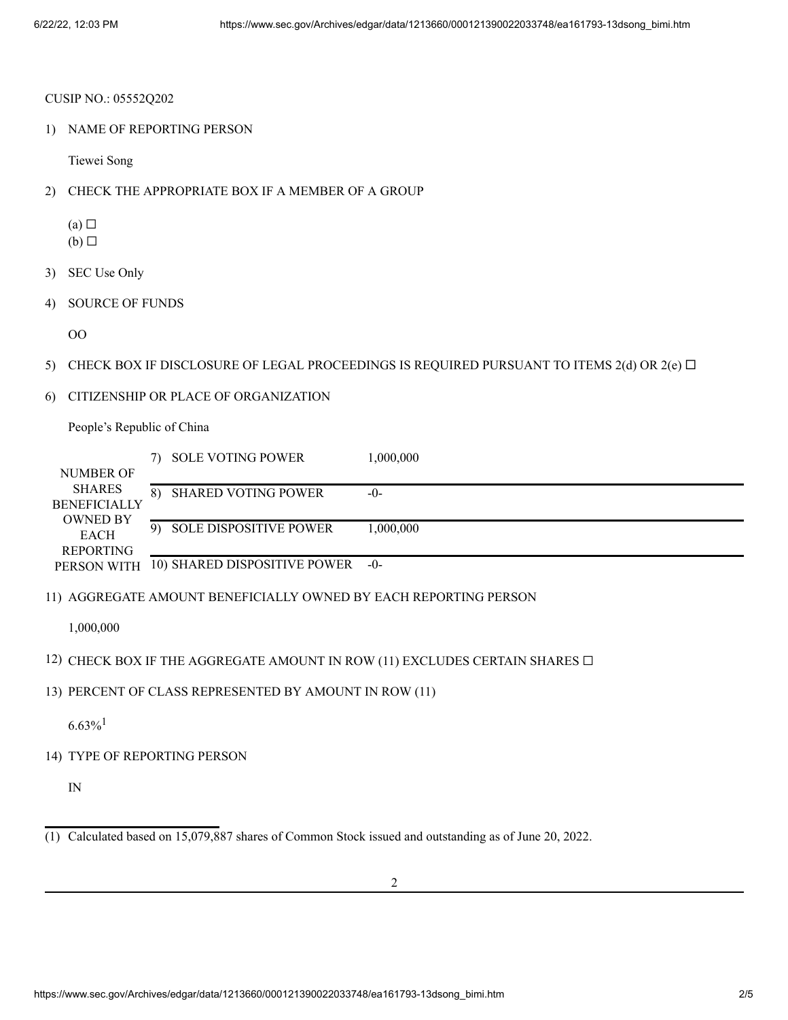#### CUSIP NO.: 05552Q202

1) NAME OF REPORTING PERSON

Tiewei Song

- 2) CHECK THE APPROPRIATE BOX IF A MEMBER OF A GROUP
	- $(a)$   $\square$
	- $(b)$   $\square$
- 3) SEC Use Only
- 4) SOURCE OF FUNDS

OO

- 5) CHECK BOX IF DISCLOSURE OF LEGAL PROCEEDINGS IS REQUIRED PURSUANT TO ITEMS 2(d) OR 2(e)  $\Box$
- 6) CITIZENSHIP OR PLACE OF ORGANIZATION

People's Republic of China

|                     | 7) | <b>SOLE VOTING POWER</b>      | 1,000,000 |
|---------------------|----|-------------------------------|-----------|
| <b>NUMBER OF</b>    |    |                               |           |
| <b>SHARES</b>       | 8) | <b>SHARED VOTING POWER</b>    | $-0-$     |
| <b>BENEFICIALLY</b> |    |                               |           |
| <b>OWNED BY</b>     | 9) | <b>SOLE DISPOSITIVE POWER</b> | 1.000.000 |
| <b>EACH</b>         |    |                               |           |
| <b>REPORTING</b>    |    | 10) SHARED DISPOSITIVE POWER  | $-()$     |
| PERSON WITH         |    |                               |           |

11) AGGREGATE AMOUNT BENEFICIALLY OWNED BY EACH REPORTING PERSON

1,000,000

- 12) CHECK BOX IF THE AGGREGATE AMOUNT IN ROW (11) EXCLUDES CERTAIN SHARES  $\Box$
- 13) PERCENT OF CLASS REPRESENTED BY AMOUNT IN ROW (11)

 $6.63\%$ <sup>1</sup>

14) TYPE OF REPORTING PERSON

IN

<sup>(1)</sup> Calculated based on 15,079,887 shares of Common Stock issued and outstanding as of June 20, 2022.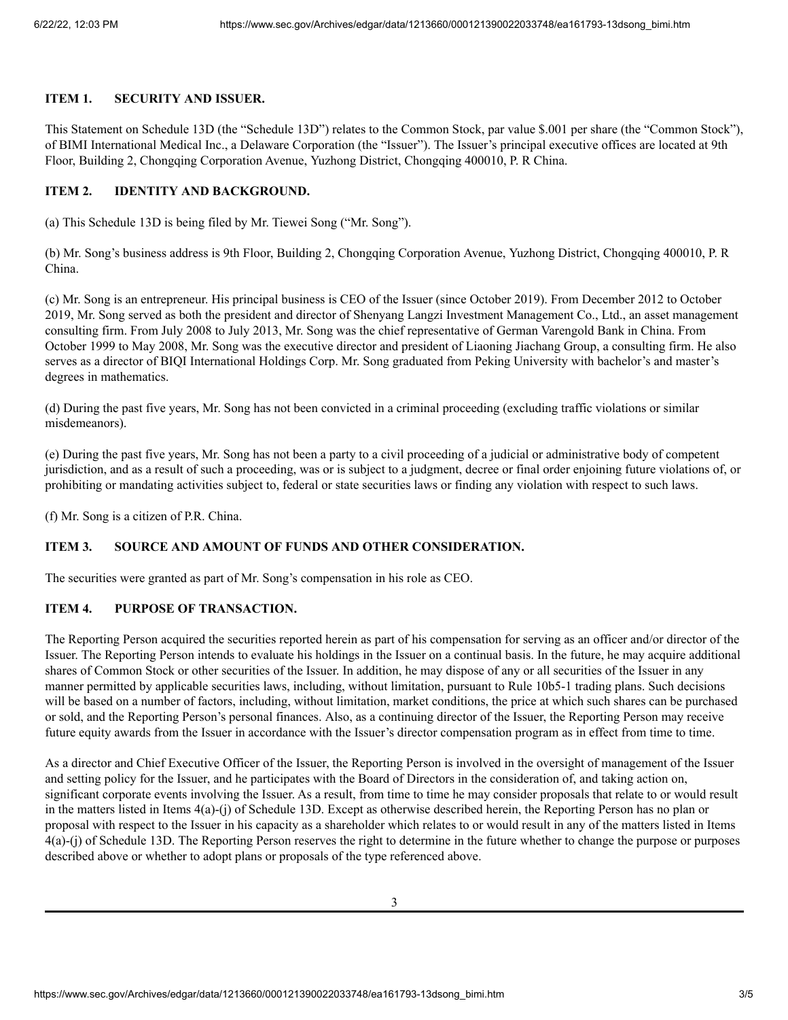## **ITEM 1. SECURITY AND ISSUER.**

This Statement on Schedule 13D (the "Schedule 13D") relates to the Common Stock, par value \$.001 per share (the "Common Stock"), of BIMI International Medical Inc., a Delaware Corporation (the "Issuer"). The Issuer's principal executive offices are located at 9th Floor, Building 2, Chongqing Corporation Avenue, Yuzhong District, Chongqing 400010, P. R China.

## **ITEM 2. IDENTITY AND BACKGROUND.**

(a) This Schedule 13D is being filed by Mr. Tiewei Song ("Mr. Song").

(b) Mr. Song's business address is 9th Floor, Building 2, Chongqing Corporation Avenue, Yuzhong District, Chongqing 400010, P. R China.

(c) Mr. Song is an entrepreneur. His principal business is CEO of the Issuer (since October 2019). From December 2012 to October 2019, Mr. Song served as both the president and director of Shenyang Langzi Investment Management Co., Ltd., an asset management consulting firm. From July 2008 to July 2013, Mr. Song was the chief representative of German Varengold Bank in China. From October 1999 to May 2008, Mr. Song was the executive director and president of Liaoning Jiachang Group, a consulting firm. He also serves as a director of BIQI International Holdings Corp. Mr. Song graduated from Peking University with bachelor's and master's degrees in mathematics.

(d) During the past five years, Mr. Song has not been convicted in a criminal proceeding (excluding traffic violations or similar misdemeanors).

(e) During the past five years, Mr. Song has not been a party to a civil proceeding of a judicial or administrative body of competent jurisdiction, and as a result of such a proceeding, was or is subject to a judgment, decree or final order enjoining future violations of, or prohibiting or mandating activities subject to, federal or state securities laws or finding any violation with respect to such laws.

(f) Mr. Song is a citizen of P.R. China.

## **ITEM 3. SOURCE AND AMOUNT OF FUNDS AND OTHER CONSIDERATION.**

The securities were granted as part of Mr. Song's compensation in his role as CEO.

## **ITEM 4. PURPOSE OF TRANSACTION.**

The Reporting Person acquired the securities reported herein as part of his compensation for serving as an officer and/or director of the Issuer. The Reporting Person intends to evaluate his holdings in the Issuer on a continual basis. In the future, he may acquire additional shares of Common Stock or other securities of the Issuer. In addition, he may dispose of any or all securities of the Issuer in any manner permitted by applicable securities laws, including, without limitation, pursuant to Rule 10b5-1 trading plans. Such decisions will be based on a number of factors, including, without limitation, market conditions, the price at which such shares can be purchased or sold, and the Reporting Person's personal finances. Also, as a continuing director of the Issuer, the Reporting Person may receive future equity awards from the Issuer in accordance with the Issuer's director compensation program as in effect from time to time.

As a director and Chief Executive Officer of the Issuer, the Reporting Person is involved in the oversight of management of the Issuer and setting policy for the Issuer, and he participates with the Board of Directors in the consideration of, and taking action on, significant corporate events involving the Issuer. As a result, from time to time he may consider proposals that relate to or would result in the matters listed in Items 4(a)-(j) of Schedule 13D. Except as otherwise described herein, the Reporting Person has no plan or proposal with respect to the Issuer in his capacity as a shareholder which relates to or would result in any of the matters listed in Items 4(a)-(j) of Schedule 13D. The Reporting Person reserves the right to determine in the future whether to change the purpose or purposes described above or whether to adopt plans or proposals of the type referenced above.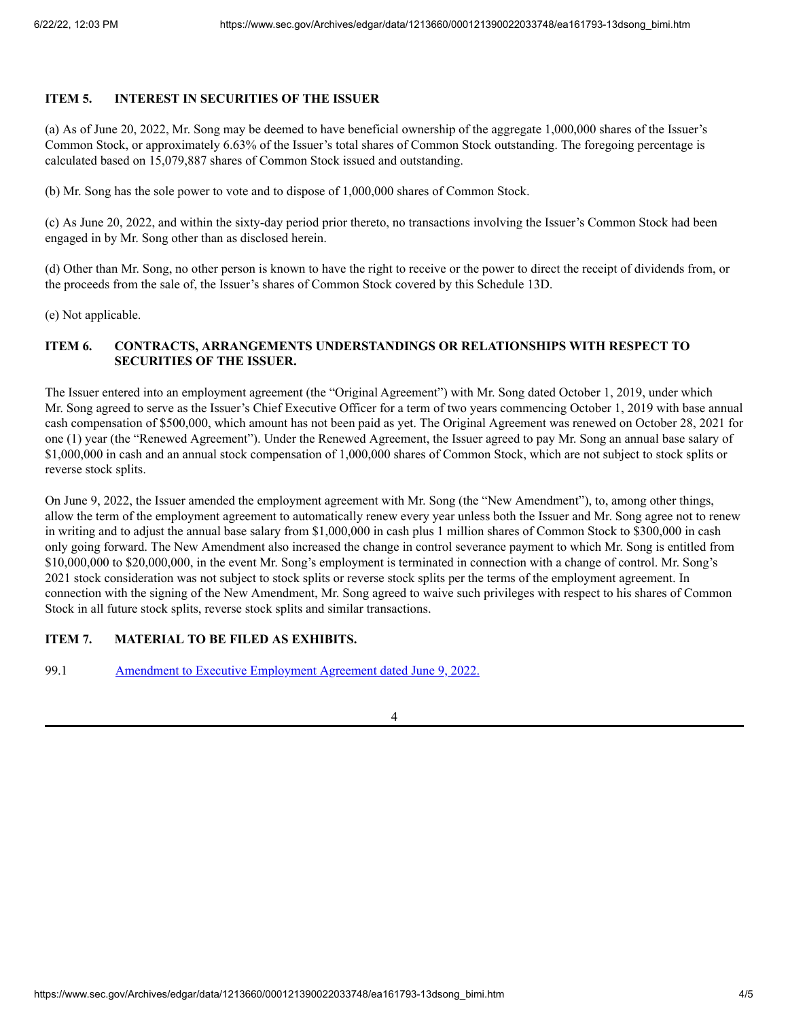### **ITEM 5. INTEREST IN SECURITIES OF THE ISSUER**

(a) As of June 20, 2022, Mr. Song may be deemed to have beneficial ownership of the aggregate 1,000,000 shares of the Issuer's Common Stock, or approximately 6.63% of the Issuer's total shares of Common Stock outstanding. The foregoing percentage is calculated based on 15,079,887 shares of Common Stock issued and outstanding.

(b) Mr. Song has the sole power to vote and to dispose of 1,000,000 shares of Common Stock.

(c) As June 20, 2022, and within the sixty-day period prior thereto, no transactions involving the Issuer's Common Stock had been engaged in by Mr. Song other than as disclosed herein.

(d) Other than Mr. Song, no other person is known to have the right to receive or the power to direct the receipt of dividends from, or the proceeds from the sale of, the Issuer's shares of Common Stock covered by this Schedule 13D.

(e) Not applicable.

## **ITEM 6. CONTRACTS, ARRANGEMENTS UNDERSTANDINGS OR RELATIONSHIPS WITH RESPECT TO SECURITIES OF THE ISSUER.**

The Issuer entered into an employment agreement (the "Original Agreement") with Mr. Song dated October 1, 2019, under which Mr. Song agreed to serve as the Issuer's Chief Executive Officer for a term of two years commencing October 1, 2019 with base annual cash compensation of \$500,000, which amount has not been paid as yet. The Original Agreement was renewed on October 28, 2021 for one (1) year (the "Renewed Agreement"). Under the Renewed Agreement, the Issuer agreed to pay Mr. Song an annual base salary of \$1,000,000 in cash and an annual stock compensation of 1,000,000 shares of Common Stock, which are not subject to stock splits or reverse stock splits.

On June 9, 2022, the Issuer amended the employment agreement with Mr. Song (the "New Amendment"), to, among other things, allow the term of the employment agreement to automatically renew every year unless both the Issuer and Mr. Song agree not to renew in writing and to adjust the annual base salary from \$1,000,000 in cash plus 1 million shares of Common Stock to \$300,000 in cash only going forward. The New Amendment also increased the change in control severance payment to which Mr. Song is entitled from \$10,000,000 to \$20,000,000, in the event Mr. Song's employment is terminated in connection with a change of control. Mr. Song's 2021 stock consideration was not subject to stock splits or reverse stock splits per the terms of the employment agreement. In connection with the signing of the New Amendment, Mr. Song agreed to waive such privileges with respect to his shares of Common Stock in all future stock splits, reverse stock splits and similar transactions.

## **ITEM 7. MATERIAL TO BE FILED AS EXHIBITS.**

99.1 Amendment to Executive [Employment](https://www.sec.gov/Archives/edgar/data/1213660/000121390022033748/ea161793ex99-1_bimi.htm) Agreement dated June 9, 2022.

4